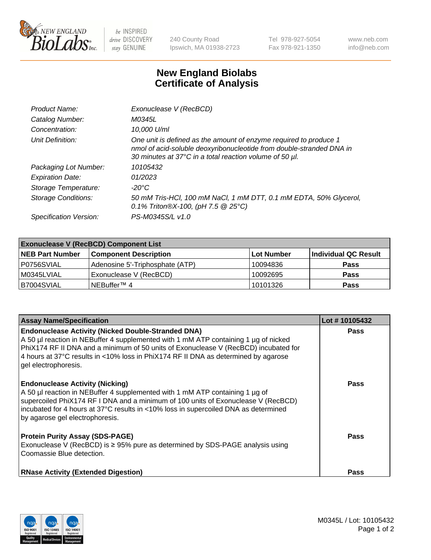

 $be$  INSPIRED drive DISCOVERY stay GENUINE

240 County Road Ipswich, MA 01938-2723 Tel 978-927-5054 Fax 978-921-1350 www.neb.com info@neb.com

## **New England Biolabs Certificate of Analysis**

| Product Name:              | Exonuclease V (RecBCD)                                                                                                                                                                               |
|----------------------------|------------------------------------------------------------------------------------------------------------------------------------------------------------------------------------------------------|
| Catalog Number:            | M0345L                                                                                                                                                                                               |
| Concentration:             | 10,000 U/ml                                                                                                                                                                                          |
| Unit Definition:           | One unit is defined as the amount of enzyme required to produce 1<br>nmol of acid-soluble deoxyribonucleotide from double-stranded DNA in<br>30 minutes at 37°C in a total reaction volume of 50 µl. |
| Packaging Lot Number:      | 10105432                                                                                                                                                                                             |
| <b>Expiration Date:</b>    | 01/2023                                                                                                                                                                                              |
| Storage Temperature:       | -20°C                                                                                                                                                                                                |
| <b>Storage Conditions:</b> | 50 mM Tris-HCl, 100 mM NaCl, 1 mM DTT, 0.1 mM EDTA, 50% Glycerol,<br>0.1% Triton®X-100, (pH 7.5 $@25°C$ )                                                                                            |
| Specification Version:     | PS-M0345S/L v1.0                                                                                                                                                                                     |

| <b>Exonuclease V (RecBCD) Component List</b> |                                 |                   |                      |  |
|----------------------------------------------|---------------------------------|-------------------|----------------------|--|
| <b>NEB Part Number</b>                       | <b>Component Description</b>    | <b>Lot Number</b> | Individual QC Result |  |
| P0756SVIAL                                   | Adenosine 5'-Triphosphate (ATP) | 10094836          | <b>Pass</b>          |  |
| M0345LVIAL                                   | Exonuclease V (RecBCD)          | 10092695          | <b>Pass</b>          |  |
| B7004SVIAL                                   | NEBuffer™ 4                     | 10101326          | <b>Pass</b>          |  |

| <b>Assay Name/Specification</b>                                                                                                                                                                                                                                                                                                                       | Lot #10105432 |
|-------------------------------------------------------------------------------------------------------------------------------------------------------------------------------------------------------------------------------------------------------------------------------------------------------------------------------------------------------|---------------|
| <b>Endonuclease Activity (Nicked Double-Stranded DNA)</b><br>A 50 µl reaction in NEBuffer 4 supplemented with 1 mM ATP containing 1 µg of nicked<br>PhiX174 RF II DNA and a minimum of 50 units of Exonuclease V (RecBCD) incubated for<br>4 hours at 37°C results in <10% loss in PhiX174 RF II DNA as determined by agarose<br>gel electrophoresis. | <b>Pass</b>   |
| <b>Endonuclease Activity (Nicking)</b><br>A 50 µl reaction in NEBuffer 4 supplemented with 1 mM ATP containing 1 µg of<br>supercoiled PhiX174 RF I DNA and a minimum of 100 units of Exonuclease V (RecBCD)<br>incubated for 4 hours at 37°C results in <10% loss in supercoiled DNA as determined<br>by agarose gel electrophoresis.                 | <b>Pass</b>   |
| <b>Protein Purity Assay (SDS-PAGE)</b><br>Exonuclease V (RecBCD) is $\geq$ 95% pure as determined by SDS-PAGE analysis using<br>Coomassie Blue detection.                                                                                                                                                                                             | <b>Pass</b>   |
| <b>RNase Activity (Extended Digestion)</b>                                                                                                                                                                                                                                                                                                            | <b>Pass</b>   |